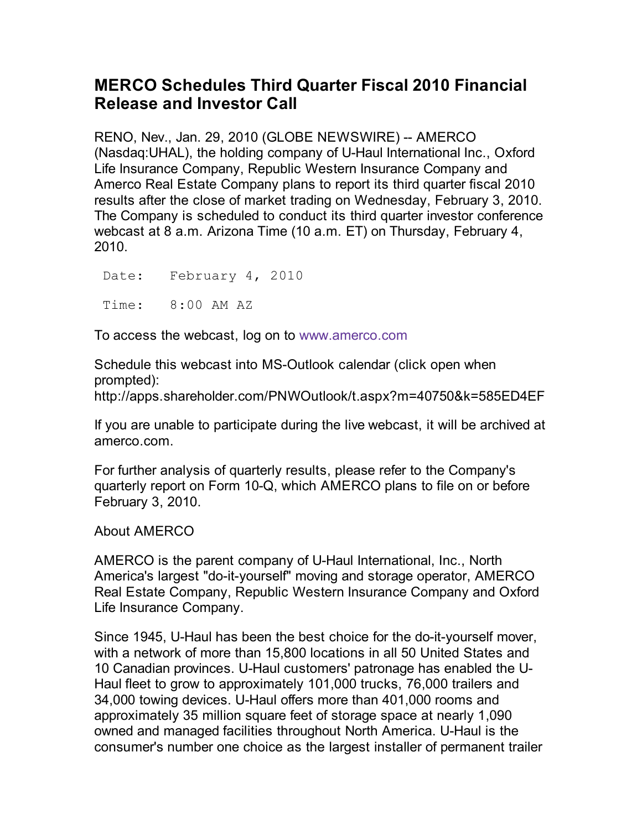## **MERCO Schedules Third Quarter Fiscal 2010 Financial Release and Investor Call**

RENO, Nev., Jan. 29, 2010 (GLOBE NEWSWIRE) -- AMERCO (Nasdaq:UHAL), the holding company of U-Haul International Inc., Oxford Life Insurance Company, Republic Western Insurance Company and Amerco Real Estate Company plans to report its third quarter fiscal 2010 results after the close of market trading on Wednesday, February 3, 2010. The Company is scheduled to conduct its third quarter investor conference webcast at 8 a.m. Arizona Time (10 a.m. ET) on Thursday, February 4, 2010.

 Date: February 4, 2010 Time: 8:00 AM AZ

To access the webcast, log on to www.amerco.com

Schedule this webcast into MS-Outlook calendar (click open when prompted):

http://apps.shareholder.com/PNWOutlook/t.aspx?m=40750&k=585ED4EF

If you are unable to participate during the live webcast, it will be archived at amerco.com.

For further analysis of quarterly results, please refer to the Company's quarterly report on Form 10-Q, which AMERCO plans to file on or before February 3, 2010.

## About AMERCO

AMERCO is the parent company of U-Haul International, Inc., North America's largest "do-it-yourself" moving and storage operator, AMERCO Real Estate Company, Republic Western Insurance Company and Oxford Life Insurance Company.

Since 1945, U-Haul has been the best choice for the do-it-yourself mover, with a network of more than 15,800 locations in all 50 United States and 10 Canadian provinces. U-Haul customers' patronage has enabled the U-Haul fleet to grow to approximately 101,000 trucks, 76,000 trailers and 34,000 towing devices. U-Haul offers more than 401,000 rooms and approximately 35 million square feet of storage space at nearly 1,090 owned and managed facilities throughout North America. U-Haul is the consumer's number one choice as the largest installer of permanent trailer